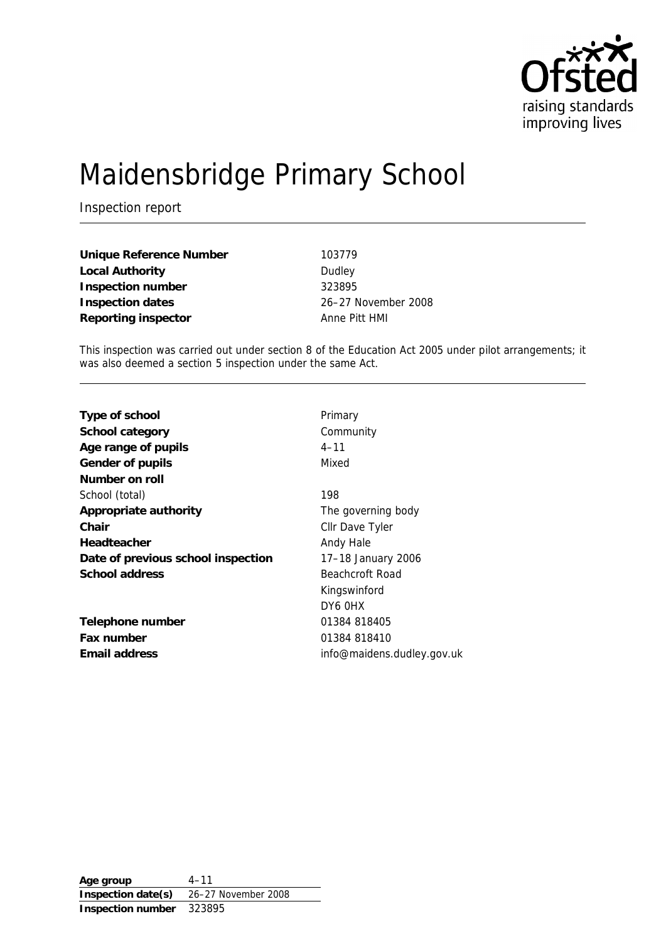

# Maidensbridge Primary School

Inspection report

**Unique Reference Number** 103779 Local Authority **Dudley Inspection number** 323895 **Inspection dates** 26–27 November 2008 **Reporting inspector** Anne Pitt HMI

This inspection was carried out under section 8 of the Education Act 2005 under pilot arrangements; it was also deemed a section 5 inspection under the same Act.

| Type of school                     | Primary                    |
|------------------------------------|----------------------------|
| School category                    | Community                  |
| Age range of pupils                | $4 - 11$                   |
| Gender of pupils                   | Mixed                      |
| Number on roll                     |                            |
| School (total)                     | 198                        |
| Appropriate authority              | The governing body         |
| Chair                              | Cllr Dave Tyler            |
| Headteacher                        | Andy Hale                  |
| Date of previous school inspection | 17-18 January 2006         |
| School address                     | Beachcroft Road            |
|                                    | Kingswinford               |
|                                    | DY6 OHX                    |
| Telephone number                   | 01384 818405               |
| Fax number                         | 01384 818410               |
| Email address                      | info@maidens.dudley.gov.uk |
|                                    |                            |

**Age group** 4–11 **Inspection date(s)** 26–27 November 2008 **Inspection number** 323895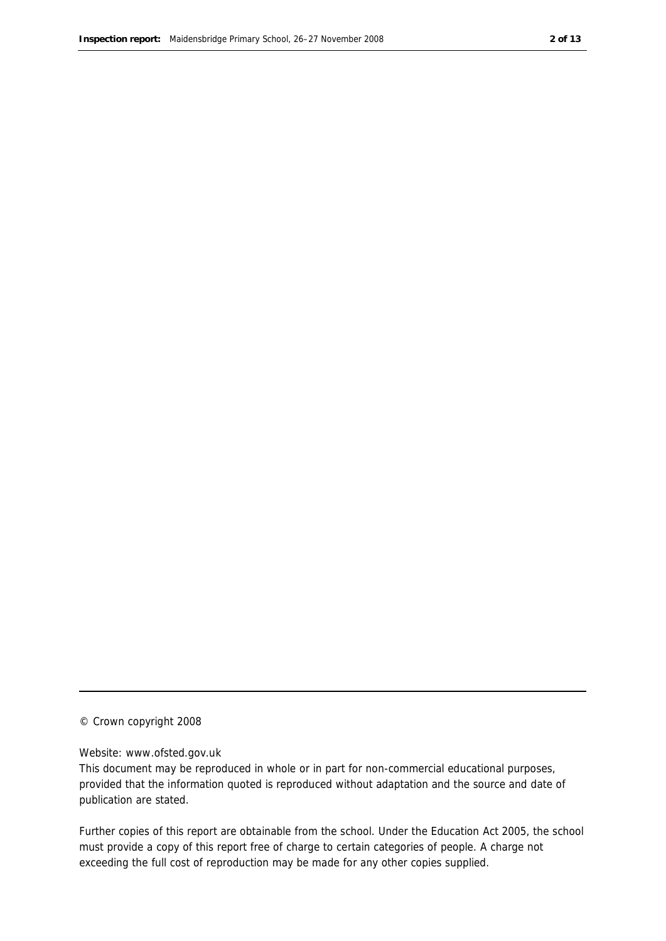#### © Crown copyright 2008

#### Website: www.ofsted.gov.uk

This document may be reproduced in whole or in part for non-commercial educational purposes, provided that the information quoted is reproduced without adaptation and the source and date of publication are stated.

Further copies of this report are obtainable from the school. Under the Education Act 2005, the school must provide a copy of this report free of charge to certain categories of people. A charge not exceeding the full cost of reproduction may be made for any other copies supplied.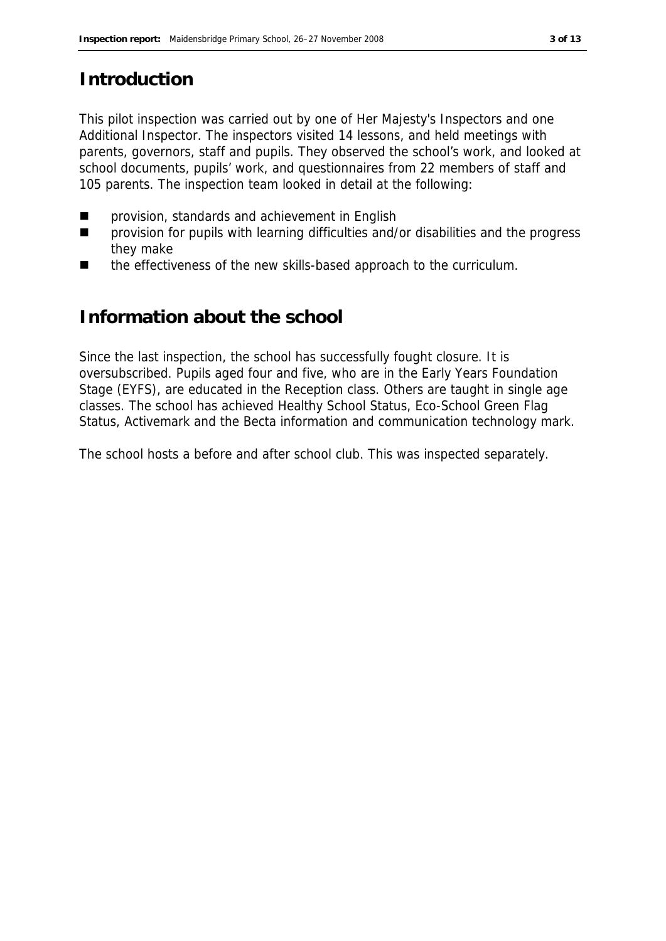# **Introduction**

This pilot inspection was carried out by one of Her Majesty's Inspectors and one Additional Inspector. The inspectors visited 14 lessons, and held meetings with parents, governors, staff and pupils. They observed the school's work, and looked at school documents, pupils' work, and questionnaires from 22 members of staff and 105 parents. The inspection team looked in detail at the following:

- provision, standards and achievement in English
- provision for pupils with learning difficulties and/or disabilities and the progress they make
- the effectiveness of the new skills-based approach to the curriculum.

#### **Information about the school**

Since the last inspection, the school has successfully fought closure. It is oversubscribed. Pupils aged four and five, who are in the Early Years Foundation Stage (EYFS), are educated in the Reception class. Others are taught in single age classes. The school has achieved Healthy School Status, Eco-School Green Flag Status, Activemark and the Becta information and communication technology mark.

The school hosts a before and after school club. This was inspected separately.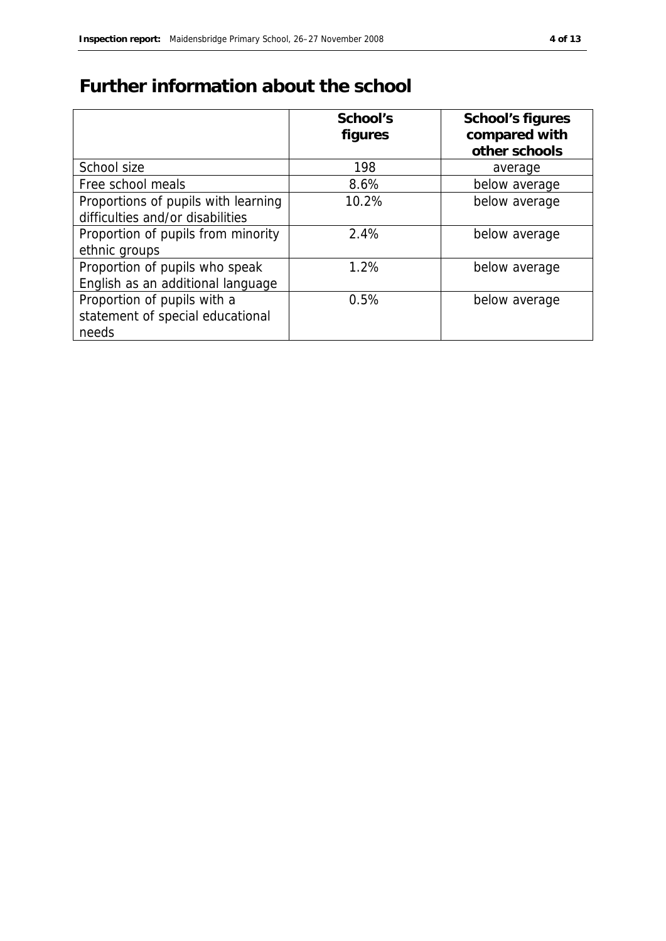# **Further information about the school**

|                                     | School's | School's figures |
|-------------------------------------|----------|------------------|
|                                     | figures  | compared with    |
|                                     |          | other schools    |
| School size                         | 198      | average          |
| Free school meals                   | 8.6%     | below average    |
| Proportions of pupils with learning | 10.2%    | below average    |
| difficulties and/or disabilities    |          |                  |
| Proportion of pupils from minority  | 2.4%     | below average    |
| ethnic groups                       |          |                  |
| Proportion of pupils who speak      | 1.2%     | below average    |
| English as an additional language   |          |                  |
| Proportion of pupils with a         | 0.5%     | below average    |
| statement of special educational    |          |                  |
| needs                               |          |                  |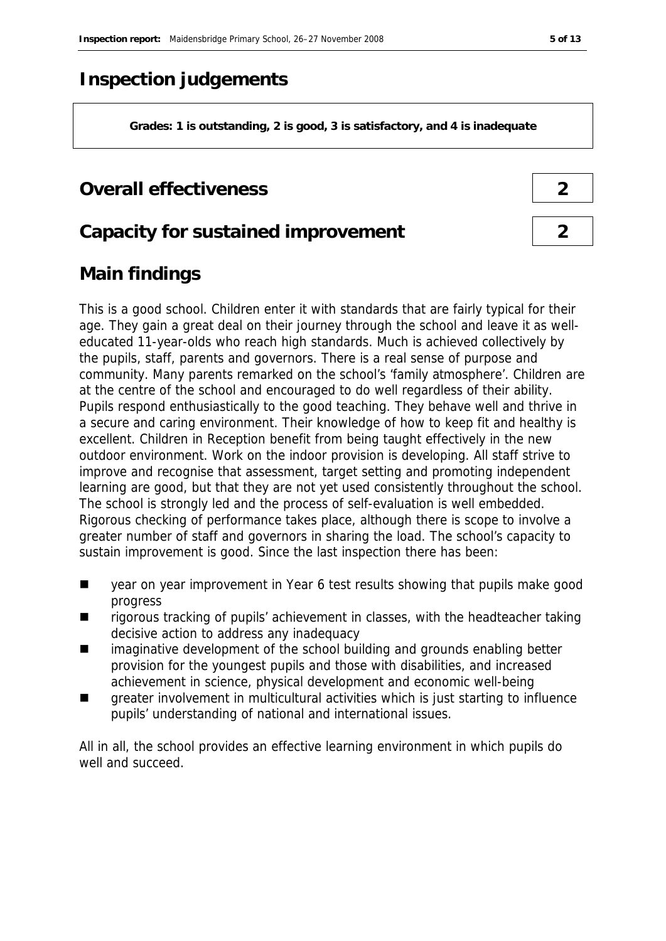# **Inspection judgements**

**Grades: 1 is outstanding, 2 is good, 3 is satisfactory, and 4 is inadequate**

### **Overall effectiveness 2**

#### **Capacity for sustained improvement 2**

# **Main findings**

This is a good school. Children enter it with standards that are fairly typical for their age. They gain a great deal on their journey through the school and leave it as welleducated 11-year-olds who reach high standards. Much is achieved collectively by the pupils, staff, parents and governors. There is a real sense of purpose and community. Many parents remarked on the school's 'family atmosphere'. Children are at the centre of the school and encouraged to do well regardless of their ability. Pupils respond enthusiastically to the good teaching. They behave well and thrive in a secure and caring environment. Their knowledge of how to keep fit and healthy is excellent. Children in Reception benefit from being taught effectively in the new outdoor environment. Work on the indoor provision is developing. All staff strive to improve and recognise that assessment, target setting and promoting independent learning are good, but that they are not yet used consistently throughout the school. The school is strongly led and the process of self-evaluation is well embedded. Rigorous checking of performance takes place, although there is scope to involve a greater number of staff and governors in sharing the load. The school's capacity to sustain improvement is good. Since the last inspection there has been:

- year on year improvement in Year 6 test results showing that pupils make good progress
- $\blacksquare$  rigorous tracking of pupils' achievement in classes, with the headteacher taking decisive action to address any inadequacy
- imaginative development of the school building and grounds enabling better provision for the youngest pupils and those with disabilities, and increased achievement in science, physical development and economic well-being
- **qeater involvement in multicultural activities which is just starting to influence** pupils' understanding of national and international issues.

All in all, the school provides an effective learning environment in which pupils do well and succeed.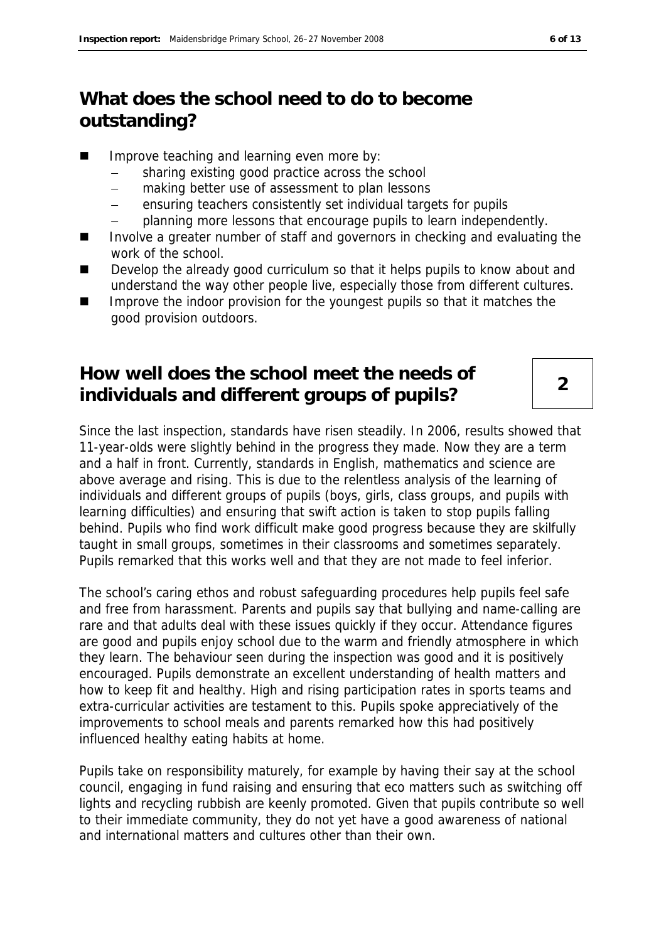# **What does the school need to do to become outstanding?**

- Improve teaching and learning even more by:
	- sharing existing good practice across the school
	- making better use of assessment to plan lessons
	- ensuring teachers consistently set individual targets for pupils
	- planning more lessons that encourage pupils to learn independently.
- Involve a greater number of staff and governors in checking and evaluating the work of the school.
- Develop the already good curriculum so that it helps pupils to know about and understand the way other people live, especially those from different cultures.
- Improve the indoor provision for the youngest pupils so that it matches the good provision outdoors.

# **How well does the school meet the needs of individuals and different groups of pupils? <sup>2</sup>**

Since the last inspection, standards have risen steadily. In 2006, results showed that 11-year-olds were slightly behind in the progress they made. Now they are a term and a half in front. Currently, standards in English, mathematics and science are above average and rising. This is due to the relentless analysis of the learning of individuals and different groups of pupils (boys, girls, class groups, and pupils with learning difficulties) and ensuring that swift action is taken to stop pupils falling behind. Pupils who find work difficult make good progress because they are skilfully taught in small groups, sometimes in their classrooms and sometimes separately. Pupils remarked that this works well and that they are not made to feel inferior.

The school's caring ethos and robust safeguarding procedures help pupils feel safe and free from harassment. Parents and pupils say that bullying and name-calling are rare and that adults deal with these issues quickly if they occur. Attendance figures are good and pupils enjoy school due to the warm and friendly atmosphere in which they learn. The behaviour seen during the inspection was good and it is positively encouraged. Pupils demonstrate an excellent understanding of health matters and how to keep fit and healthy. High and rising participation rates in sports teams and extra-curricular activities are testament to this. Pupils spoke appreciatively of the improvements to school meals and parents remarked how this had positively influenced healthy eating habits at home.

Pupils take on responsibility maturely, for example by having their say at the school council, engaging in fund raising and ensuring that eco matters such as switching off lights and recycling rubbish are keenly promoted. Given that pupils contribute so well to their immediate community, they do not yet have a good awareness of national and international matters and cultures other than their own.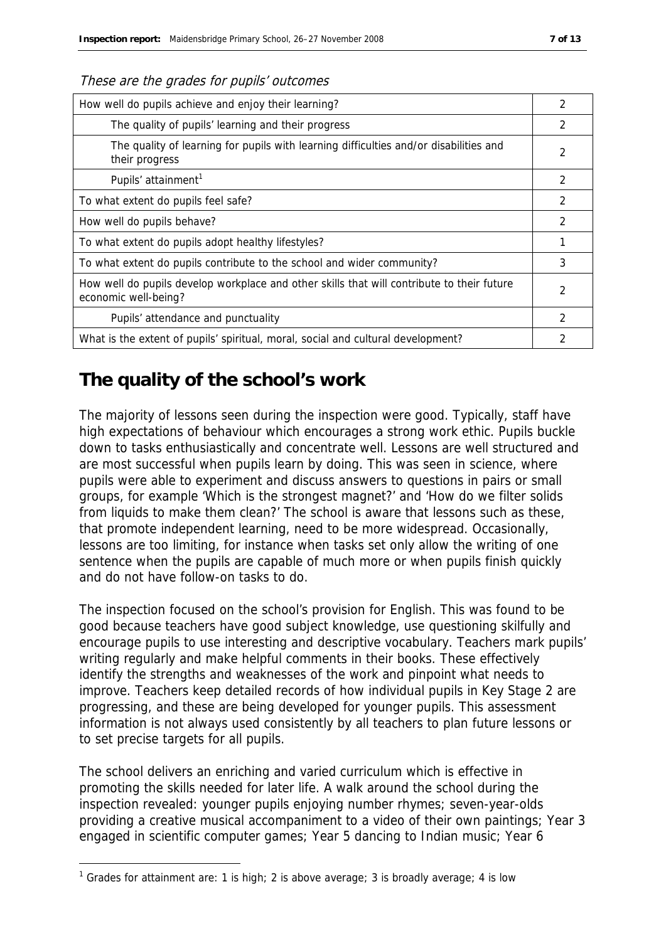#### These are the grades for pupils' outcomes

| How well do pupils achieve and enjoy their learning?                                                               |   |
|--------------------------------------------------------------------------------------------------------------------|---|
| The quality of pupils' learning and their progress                                                                 |   |
| The quality of learning for pupils with learning difficulties and/or disabilities and<br>their progress            | 2 |
| Pupils' attainment <sup>1</sup>                                                                                    | 2 |
| To what extent do pupils feel safe?                                                                                | 2 |
| How well do pupils behave?                                                                                         |   |
| To what extent do pupils adopt healthy lifestyles?                                                                 |   |
| To what extent do pupils contribute to the school and wider community?                                             |   |
| How well do pupils develop workplace and other skills that will contribute to their future<br>economic well-being? |   |
| Pupils' attendance and punctuality                                                                                 | 2 |
| What is the extent of pupils' spiritual, moral, social and cultural development?                                   |   |

### **The quality of the school's work**

The majority of lessons seen during the inspection were good. Typically, staff have high expectations of behaviour which encourages a strong work ethic. Pupils buckle down to tasks enthusiastically and concentrate well. Lessons are well structured and are most successful when pupils learn by doing. This was seen in science, where pupils were able to experiment and discuss answers to questions in pairs or small groups, for example 'Which is the strongest magnet?' and 'How do we filter solids from liquids to make them clean?' The school is aware that lessons such as these, that promote independent learning, need to be more widespread. Occasionally, lessons are too limiting, for instance when tasks set only allow the writing of one sentence when the pupils are capable of much more or when pupils finish quickly and do not have follow-on tasks to do.

The inspection focused on the school's provision for English. This was found to be good because teachers have good subject knowledge, use questioning skilfully and encourage pupils to use interesting and descriptive vocabulary. Teachers mark pupils' writing regularly and make helpful comments in their books. These effectively identify the strengths and weaknesses of the work and pinpoint what needs to improve. Teachers keep detailed records of how individual pupils in Key Stage 2 are progressing, and these are being developed for younger pupils. This assessment information is not always used consistently by all teachers to plan future lessons or to set precise targets for all pupils.

The school delivers an enriching and varied curriculum which is effective in promoting the skills needed for later life. A walk around the school during the inspection revealed: younger pupils enjoying number rhymes; seven-year-olds providing a creative musical accompaniment to a video of their own paintings; Year 3 engaged in scientific computer games; Year 5 dancing to Indian music; Year 6

-

<sup>&</sup>lt;sup>1</sup> Grades for attainment are: 1 is high; 2 is above average; 3 is broadly average; 4 is low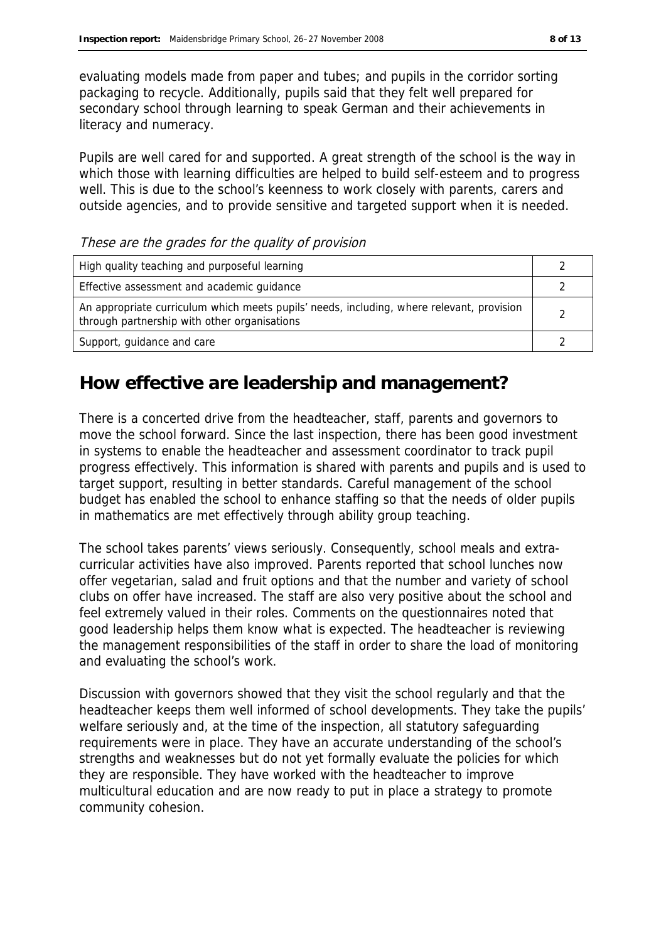evaluating models made from paper and tubes; and pupils in the corridor sorting packaging to recycle. Additionally, pupils said that they felt well prepared for secondary school through learning to speak German and their achievements in literacy and numeracy.

Pupils are well cared for and supported. A great strength of the school is the way in which those with learning difficulties are helped to build self-esteem and to progress well. This is due to the school's keenness to work closely with parents, carers and outside agencies, and to provide sensitive and targeted support when it is needed.

High quality teaching and purposeful learning 2 Effective assessment and academic guidance 2 and 2 An appropriate curriculum which meets pupils' needs, including, where relevant, provision An appropriate curriculum which meets pupils needs, including, where relevant, provision 2<br>through partnership with other organisations Support, guidance and care 200 and 200 and 200 and 200 and 200 and 200 and 200 and 200 and 200 and 200 and 200 and 200 and 200 and 200 and 200 and 200 and 200 and 200 and 200 and 200 and 200 and 200 and 200 and 200 and 200

#### These are the grades for the quality of provision

### **How effective are leadership and management?**

There is a concerted drive from the headteacher, staff, parents and governors to move the school forward. Since the last inspection, there has been good investment in systems to enable the headteacher and assessment coordinator to track pupil progress effectively. This information is shared with parents and pupils and is used to target support, resulting in better standards. Careful management of the school budget has enabled the school to enhance staffing so that the needs of older pupils in mathematics are met effectively through ability group teaching.

The school takes parents' views seriously. Consequently, school meals and extracurricular activities have also improved. Parents reported that school lunches now offer vegetarian, salad and fruit options and that the number and variety of school clubs on offer have increased. The staff are also very positive about the school and feel extremely valued in their roles. Comments on the questionnaires noted that good leadership helps them know what is expected. The headteacher is reviewing the management responsibilities of the staff in order to share the load of monitoring and evaluating the school's work.

Discussion with governors showed that they visit the school regularly and that the headteacher keeps them well informed of school developments. They take the pupils' welfare seriously and, at the time of the inspection, all statutory safeguarding requirements were in place. They have an accurate understanding of the school's strengths and weaknesses but do not yet formally evaluate the policies for which they are responsible. They have worked with the headteacher to improve multicultural education and are now ready to put in place a strategy to promote community cohesion.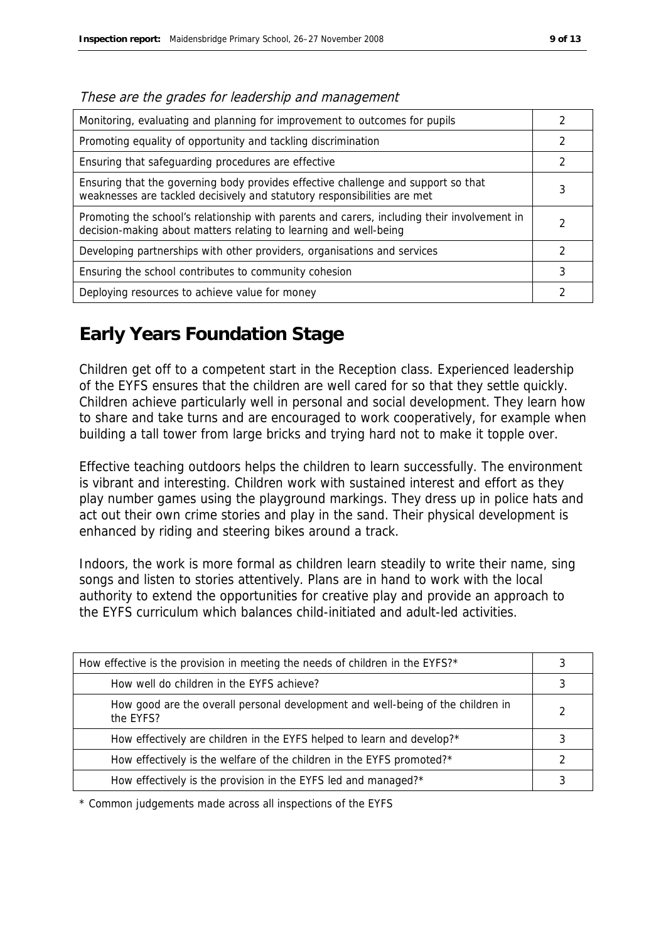| Monitoring, evaluating and planning for improvement to outcomes for pupils                                                                                       |   |
|------------------------------------------------------------------------------------------------------------------------------------------------------------------|---|
| Promoting equality of opportunity and tackling discrimination                                                                                                    |   |
| Ensuring that safeguarding procedures are effective                                                                                                              |   |
| Ensuring that the governing body provides effective challenge and support so that<br>weaknesses are tackled decisively and statutory responsibilities are met    | 3 |
| Promoting the school's relationship with parents and carers, including their involvement in<br>decision-making about matters relating to learning and well-being |   |
| Developing partnerships with other providers, organisations and services                                                                                         | 2 |
| Ensuring the school contributes to community cohesion                                                                                                            | 3 |
| Deploying resources to achieve value for money                                                                                                                   |   |

These are the grades for leadership and management

# **Early Years Foundation Stage**

Children get off to a competent start in the Reception class. Experienced leadership of the EYFS ensures that the children are well cared for so that they settle quickly. Children achieve particularly well in personal and social development. They learn how to share and take turns and are encouraged to work cooperatively, for example when building a tall tower from large bricks and trying hard not to make it topple over.

Effective teaching outdoors helps the children to learn successfully. The environment is vibrant and interesting. Children work with sustained interest and effort as they play number games using the playground markings. They dress up in police hats and act out their own crime stories and play in the sand. Their physical development is enhanced by riding and steering bikes around a track.

Indoors, the work is more formal as children learn steadily to write their name, sing songs and listen to stories attentively. Plans are in hand to work with the local authority to extend the opportunities for creative play and provide an approach to the EYFS curriculum which balances child-initiated and adult-led activities.

| How effective is the provision in meeting the needs of children in the EYFS?*                |  |
|----------------------------------------------------------------------------------------------|--|
| How well do children in the EYFS achieve?                                                    |  |
| How good are the overall personal development and well-being of the children in<br>the EYFS? |  |
| How effectively are children in the EYFS helped to learn and develop?*                       |  |
| How effectively is the welfare of the children in the EYFS promoted?*                        |  |
| How effectively is the provision in the EYFS led and managed?*                               |  |

\* Common judgements made across all inspections of the EYFS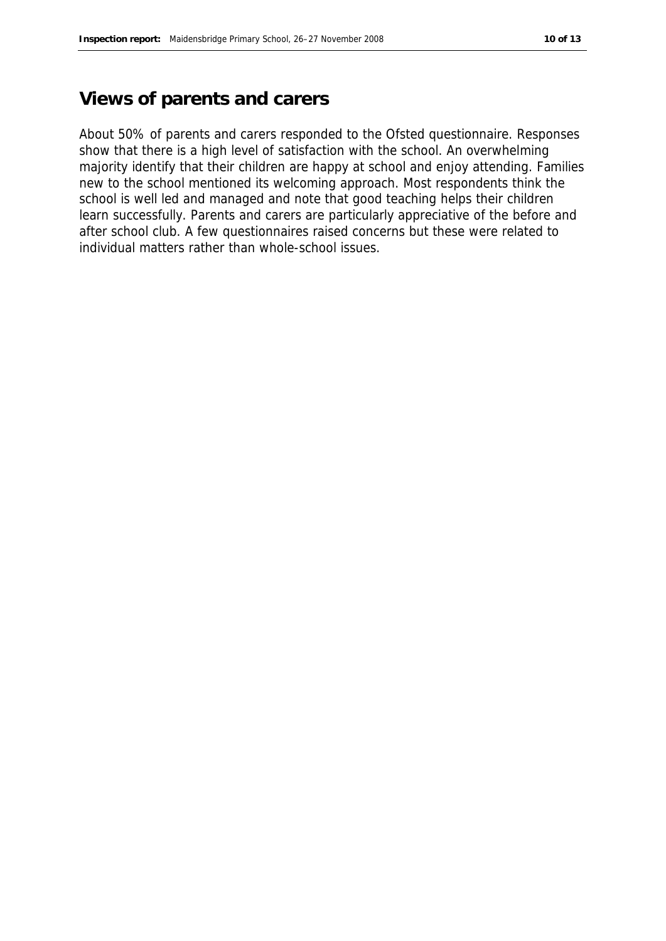### **Views of parents and carers**

About 50% of parents and carers responded to the Ofsted questionnaire. Responses show that there is a high level of satisfaction with the school. An overwhelming majority identify that their children are happy at school and enjoy attending. Families new to the school mentioned its welcoming approach. Most respondents think the school is well led and managed and note that good teaching helps their children learn successfully. Parents and carers are particularly appreciative of the before and after school club. A few questionnaires raised concerns but these were related to individual matters rather than whole-school issues.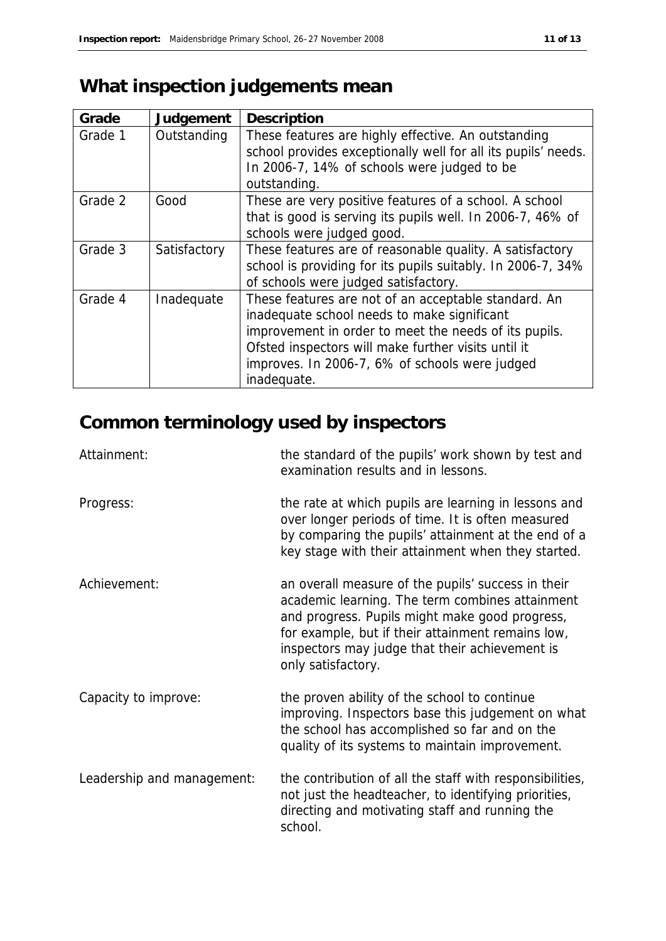# **What inspection judgements mean**

| Grade   | Judgement    | Description                                                                                                                                                                                                                                                                          |
|---------|--------------|--------------------------------------------------------------------------------------------------------------------------------------------------------------------------------------------------------------------------------------------------------------------------------------|
| Grade 1 | Outstanding  | These features are highly effective. An outstanding<br>school provides exceptionally well for all its pupils' needs.<br>In 2006-7, 14% of schools were judged to be<br>outstanding.                                                                                                  |
| Grade 2 | Good         | These are very positive features of a school. A school<br>that is good is serving its pupils well. In 2006-7, 46% of<br>schools were judged good.                                                                                                                                    |
| Grade 3 | Satisfactory | These features are of reasonable quality. A satisfactory<br>school is providing for its pupils suitably. In 2006-7, 34%<br>of schools were judged satisfactory.                                                                                                                      |
| Grade 4 | Inadequate   | These features are not of an acceptable standard. An<br>inadequate school needs to make significant<br>improvement in order to meet the needs of its pupils.<br>Ofsted inspectors will make further visits until it<br>improves. In 2006-7, 6% of schools were judged<br>inadequate. |

# **Common terminology used by inspectors**

| Attainment:                | the standard of the pupils' work shown by test and<br>examination results and in lessons.                                                                                                                                                                                            |
|----------------------------|--------------------------------------------------------------------------------------------------------------------------------------------------------------------------------------------------------------------------------------------------------------------------------------|
| Progress:                  | the rate at which pupils are learning in lessons and<br>over longer periods of time. It is often measured<br>by comparing the pupils' attainment at the end of a<br>key stage with their attainment when they started.                                                               |
| Achievement:               | an overall measure of the pupils' success in their<br>academic learning. The term combines attainment<br>and progress. Pupils might make good progress,<br>for example, but if their attainment remains low,<br>inspectors may judge that their achievement is<br>only satisfactory. |
| Capacity to improve:       | the proven ability of the school to continue<br>improving. Inspectors base this judgement on what<br>the school has accomplished so far and on the<br>quality of its systems to maintain improvement.                                                                                |
| Leadership and management: | the contribution of all the staff with responsibilities,<br>not just the headteacher, to identifying priorities,<br>directing and motivating staff and running the<br>school.                                                                                                        |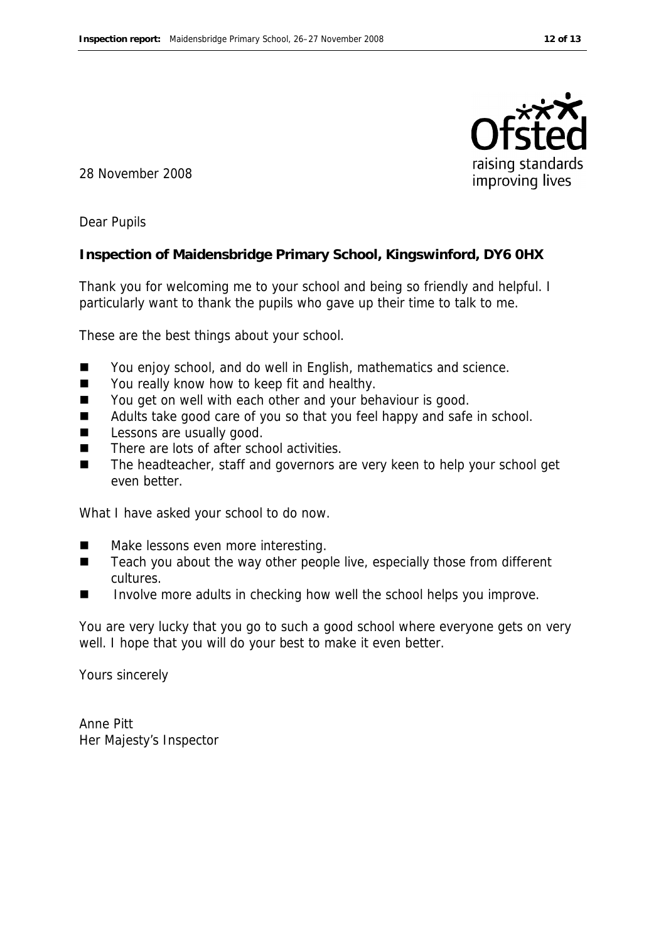

28 November 2008

Dear Pupils

**Inspection of Maidensbridge Primary School, Kingswinford, DY6 0HX**

Thank you for welcoming me to your school and being so friendly and helpful. I particularly want to thank the pupils who gave up their time to talk to me.

These are the best things about your school.

- You enjoy school, and do well in English, mathematics and science.
- You really know how to keep fit and healthy.
- You get on well with each other and your behaviour is good.
- Adults take good care of you so that you feel happy and safe in school.
- **Lessons are usually good.**
- $\blacksquare$  There are lots of after school activities.
- The headteacher, staff and governors are very keen to help your school get even better.

What I have asked your school to do now.

- Make lessons even more interesting.
- $\blacksquare$  Teach you about the way other people live, especially those from different cultures.
- Involve more adults in checking how well the school helps you improve.

You are very lucky that you go to such a good school where everyone gets on very well. I hope that you will do your best to make it even better.

Yours sincerely

Anne Pitt Her Majesty's Inspector